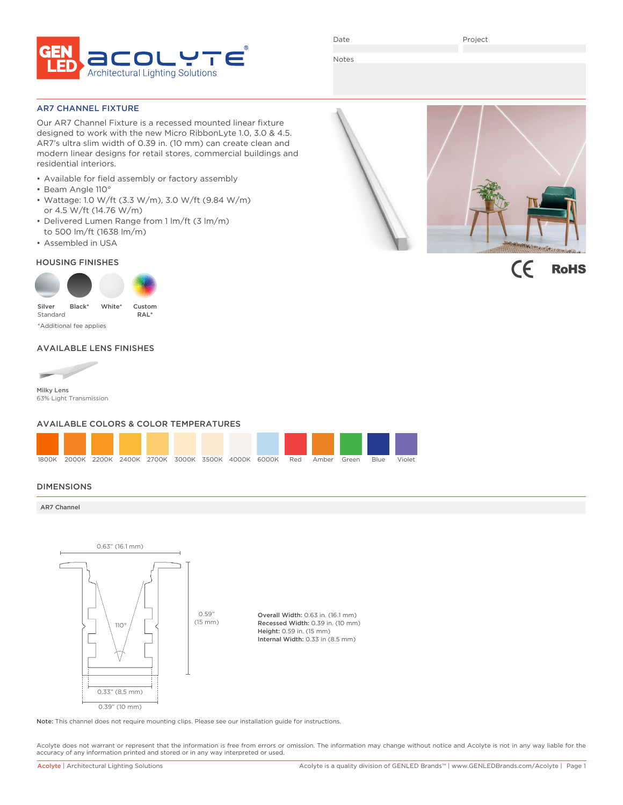

Date

Project

Notes

AR7 CHANNEL FIXTURE

Our AR7 Channel Fixture is a recessed mounted linear fixture designed to work with the new Micro RibbonLyte 1.0, 3.0 & 4.5. AR7's ultra slim width of 0.39 in. (10 mm) can create clean and modern linear designs for retail stores, commercial buildings and residential interiors.

- Available for field assembly or factory assembly
- Beam Angle 110°
- Wattage: 1.0 W/ft (3.3 W/m), 3.0 W/ft (9.84 W/m) or 4.5 W/ft (14.76 W/m)
- Delivered Lumen Range from 1 lm/ft (3 lm/m) to 500 lm/ft (1638 lm/m)
- Assembled in USA

### HOUSING FINISHES



### AVAILABLE LENS FINISHES



Milky Lens 63% Light Transmission

### AVAILABLE COLORS & COLOR TEMPERATURES



### DIMENSIONS

AR7 Channel



Note: This channel does not require mounting clips. Please see our installation guide for instructions.

Acolyte does not warrant or represent that the information is free from errors or omission. The information may change without notice and Acolyte is not in any way liable for the accuracy of any information printed and stored or in any way interpreted or used.



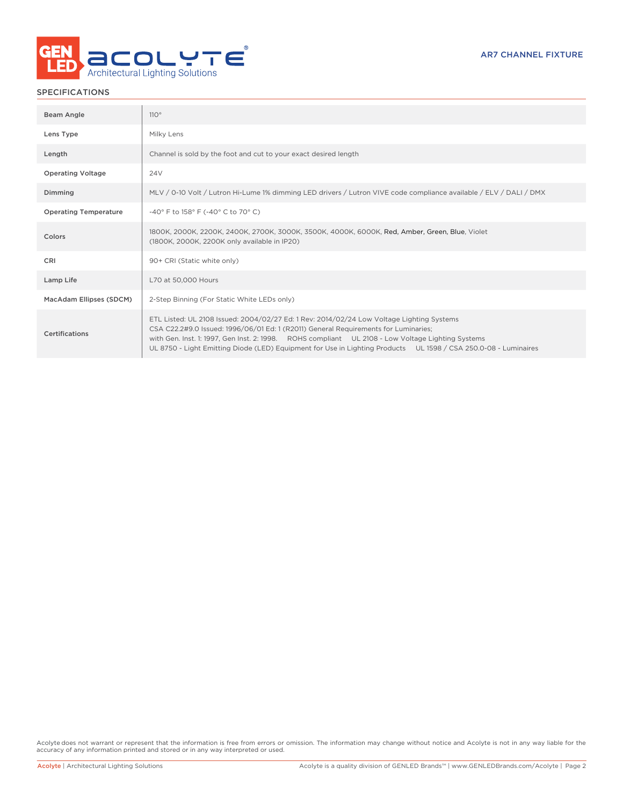

### SPECIFICATIONS

| Beam Angle                   | 110°                                                                                                                                                                                                                                                                                                                                                                                                     |
|------------------------------|----------------------------------------------------------------------------------------------------------------------------------------------------------------------------------------------------------------------------------------------------------------------------------------------------------------------------------------------------------------------------------------------------------|
| Lens Type                    | Milky Lens                                                                                                                                                                                                                                                                                                                                                                                               |
| Length                       | Channel is sold by the foot and cut to your exact desired length                                                                                                                                                                                                                                                                                                                                         |
| <b>Operating Voltage</b>     | 24V                                                                                                                                                                                                                                                                                                                                                                                                      |
| Dimming                      | MLV / 0-10 Volt / Lutron Hi-Lume 1% dimming LED drivers / Lutron VIVE code compliance available / ELV / DALI / DMX                                                                                                                                                                                                                                                                                       |
| <b>Operating Temperature</b> | -40° F to 158° F (-40° C to 70° C)                                                                                                                                                                                                                                                                                                                                                                       |
| Colors                       | 1800K, 2000K, 2200K, 2400K, 2700K, 3000K, 3500K, 4000K, 6000K, Red, Amber, Green, Blue, Violet<br>(1800K, 2000K, 2200K only available in IP20)                                                                                                                                                                                                                                                           |
| <b>CRI</b>                   | 90+ CRI (Static white only)                                                                                                                                                                                                                                                                                                                                                                              |
| Lamp Life                    | L70 at 50,000 Hours                                                                                                                                                                                                                                                                                                                                                                                      |
| MacAdam Ellipses (SDCM)      | 2-Step Binning (For Static White LEDs only)                                                                                                                                                                                                                                                                                                                                                              |
| Certifications               | ETL Listed: UL 2108 Issued: 2004/02/27 Ed: 1 Rev: 2014/02/24 Low Voltage Lighting Systems<br>CSA C22.2#9.0 Issued: 1996/06/01 Ed: 1 (R2011) General Requirements for Luminaries;<br>with Gen. Inst. 1: 1997, Gen Inst. 2: 1998. ROHS compliant UL 2108 - Low Voltage Lighting Systems<br>UL 8750 - Light Emitting Diode (LED) Equipment for Use in Lighting Products UL 1598 / CSA 250.0-08 - Luminaires |

Acolyte does not warrant or represent that the information is free from errors or omission. The information may change without notice and Acolyte is not in any way liable for the accuracy of any information printed and stored or in any way interpreted or used.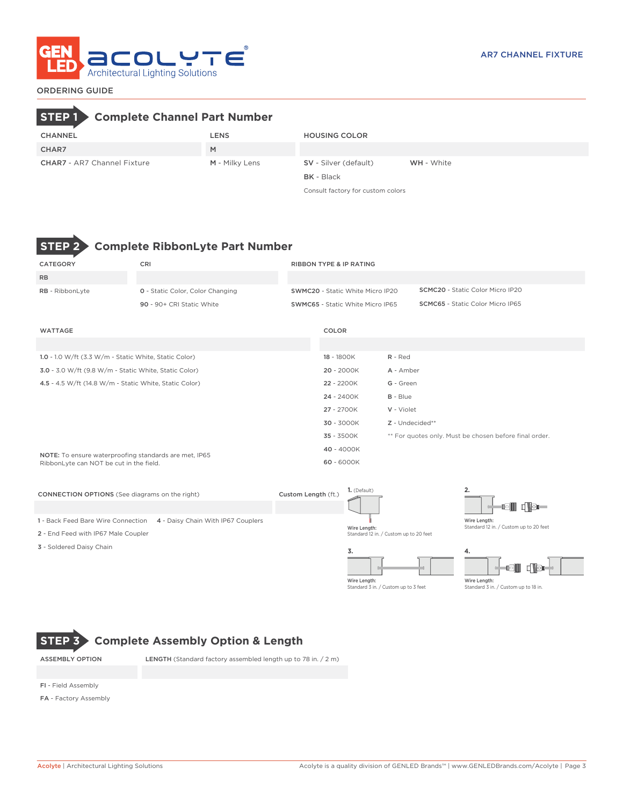

### ORDERING GUIDE

# **STEP 1 Complete Channel Part Number**

| <b>CHANNEL</b>                     | LENS           | <b>HOUSING COLOR</b>         |                   |
|------------------------------------|----------------|------------------------------|-------------------|
| CHAR7                              | M              |                              |                   |
| <b>CHAR7</b> - AR7 Channel Fixture | M - Milky Lens | <b>SV</b> - Silver (default) | <b>WH</b> - White |
|                                    |                | <b>BK</b> - Black            |                   |

Consult factory for custom colors



# **Complete RibbonLyte Part Number**

| CATEGORY                                               | CRI                                     | <b>RIBBON TYPE &amp; IP RATING</b> |                                  |                                                        |                                         |  |  |
|--------------------------------------------------------|-----------------------------------------|------------------------------------|----------------------------------|--------------------------------------------------------|-----------------------------------------|--|--|
| <b>RB</b>                                              |                                         |                                    |                                  |                                                        |                                         |  |  |
| RB - RibbonLyte                                        | <b>0</b> - Static Color, Color Changing |                                    | SWMC20 - Static White Micro IP20 | <b>SCMC20</b> - Static Color Micro IP20                |                                         |  |  |
|                                                        | 90 - 90+ CRI Static White               |                                    | SWMC65 - Static White Micro IP65 |                                                        | <b>SCMC65</b> - Static Color Micro IP65 |  |  |
|                                                        |                                         |                                    |                                  |                                                        |                                         |  |  |
| <b>WATTAGE</b>                                         |                                         |                                    | COLOR                            |                                                        |                                         |  |  |
|                                                        |                                         |                                    |                                  |                                                        |                                         |  |  |
| 1.0 - 1.0 W/ft (3.3 W/m - Static White, Static Color)  |                                         |                                    | 18 - 1800K                       | R - Red                                                |                                         |  |  |
| 3.0 - 3.0 W/ft (9.8 W/m - Static White, Static Color)  |                                         |                                    | $20 - 2000K$                     | A - Amber                                              |                                         |  |  |
| 4.5 - 4.5 W/ft (14.8 W/m - Static White, Static Color) |                                         |                                    | 22 - 2200K                       | G - Green                                              |                                         |  |  |
|                                                        |                                         |                                    | 24 - 2400K                       | $B - Blue$                                             |                                         |  |  |
|                                                        |                                         |                                    | 27 - 2700K                       | V - Violet<br>Z - Undecided**                          |                                         |  |  |
|                                                        |                                         |                                    | 30 - 3000K                       |                                                        |                                         |  |  |
|                                                        |                                         |                                    | 35 - 3500K                       | ** For quotes only. Must be chosen before final order. |                                         |  |  |
| NOTE: To ensure waterproofing standards are met, IP65  |                                         |                                    | 40 - 4000K                       |                                                        |                                         |  |  |
| RibbonLyte can NOT be cut in the field.                |                                         |                                    | 60 - 6000K                       |                                                        |                                         |  |  |
|                                                        |                                         |                                    |                                  |                                                        |                                         |  |  |

| <b>CONNECTION OPTIONS</b> (See diagrams on the right)                    | Custom Length (ft.) | 1. (Default)                                           |                                        |
|--------------------------------------------------------------------------|---------------------|--------------------------------------------------------|----------------------------------------|
|                                                                          |                     |                                                        | d ol                                   |
| 1 - Back Feed Bare Wire Connection<br>4 - Daisy Chain With IP67 Couplers |                     |                                                        | Wire Length:                           |
| 2 - End Feed with IP67 Male Coupler                                      |                     | Wire Length:<br>Standard 12 in. / Custom up to 20 feet | Standard 12 in. / Custom up to 20 feet |
| 3 - Soldered Daisy Chain                                                 |                     | 3.                                                     | 4.                                     |
|                                                                          |                     |                                                        |                                        |





Wire Length: Standard 3 in. / Custom up to 18 in.

# **STEP 3 Complete Assembly Option & Length**

ASSEMBLY OPTION LENGTH (Standard factory assembled length up to 78 in. / 2 m)

FI - Field Assembly

FA - Factory Assembly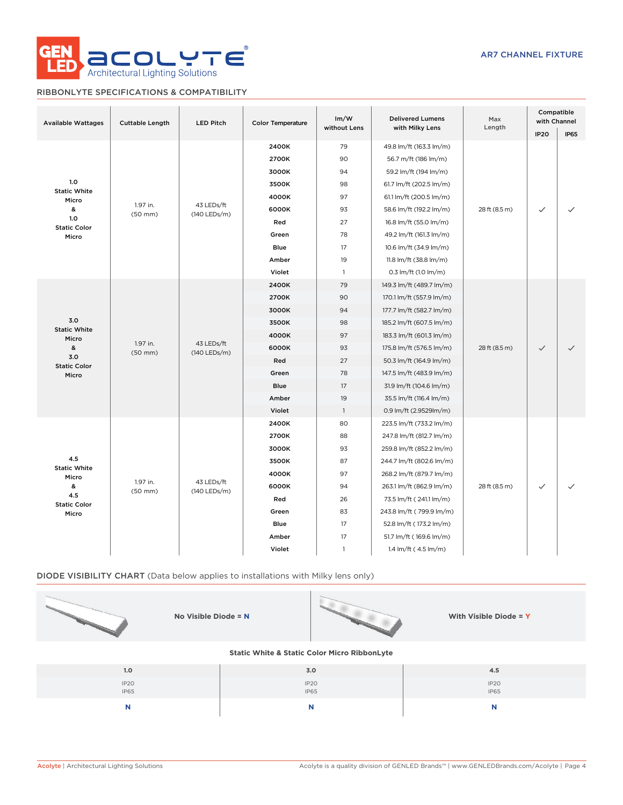

## RIBBONLYTE SPECIFICATIONS & COMPATIBILITY

| <b>Available Wattages</b>    | <b>Cuttable Length</b>   | <b>LED Pitch</b>           |                                         |                |                           | Im/W<br>without Lens | <b>Delivered Lumens</b><br>with Milky Lens | Max<br>Length            | Compatible<br>with Channel |  |       |    |                          |
|------------------------------|--------------------------|----------------------------|-----------------------------------------|----------------|---------------------------|----------------------|--------------------------------------------|--------------------------|----------------------------|--|-------|----|--------------------------|
|                              |                          |                            |                                         |                |                           |                      | <b>IP20</b>                                | <b>IP65</b>              |                            |  |       |    |                          |
|                              |                          |                            | 2400K                                   | 79             | 49.8 lm/ft (163.3 lm/m)   |                      |                                            |                          |                            |  |       |    |                          |
|                              |                          |                            | 2700K                                   | 90             | 56.7 m/ft (186 lm/m)      |                      |                                            |                          |                            |  |       |    |                          |
|                              |                          |                            | 3000K                                   | 94             | 59.2 lm/ft (194 lm/m)     |                      |                                            |                          |                            |  |       |    |                          |
| 1.0<br><b>Static White</b>   |                          |                            | 3500K                                   | 98             | 61.7 lm/ft (202.5 lm/m)   |                      |                                            |                          |                            |  |       |    |                          |
| Micro                        |                          |                            | 4000K                                   | 97             | 61.1 lm/ft (200.5 lm/m)   |                      |                                            |                          |                            |  |       |    |                          |
| &                            | 1.97 in.<br>$(50$ mm $)$ | 43 LEDs/ft<br>(140 LEDs/m) | 6000K                                   | 93             | 58.6 lm/ft (192.2 lm/m)   | 28 ft (8.5 m)        | $\checkmark$                               |                          |                            |  |       |    |                          |
| 1.0<br><b>Static Color</b>   |                          |                            | Red                                     | 27             | 16.8 lm/ft (55.0 lm/m)    |                      |                                            |                          |                            |  |       |    |                          |
| Micro                        |                          |                            | Green                                   | 78             | 49.2 lm/ft (161.3 lm/m)   |                      |                                            |                          |                            |  |       |    |                          |
|                              |                          |                            | Blue                                    | 17             | 10.6 lm/ft (34.9 lm/m)    |                      |                                            |                          |                            |  |       |    |                          |
|                              |                          |                            | Amber                                   | 19             | 11.8 lm/ft (38.8 lm/m)    |                      |                                            |                          |                            |  |       |    |                          |
|                              |                          |                            | Violet                                  | $\mathbf{1}$   | 0.3 lm/ft (1.0 lm/m)      |                      |                                            |                          |                            |  |       |    |                          |
|                              |                          | 43 LEDs/ft<br>(140 LEDs/m) | 2400K                                   | 79             | 149.3 lm/ft (489.7 lm/m)  |                      |                                            |                          |                            |  |       |    |                          |
|                              |                          |                            | 2700K                                   | 90             | 170.1 lm/ft (557.9 lm/m)  |                      |                                            |                          |                            |  |       |    |                          |
|                              | 1.97 in.<br>$(50$ mm $)$ |                            | 3000K<br>94<br>177.7 lm/ft (582.7 lm/m) |                |                           |                      |                                            |                          |                            |  |       |    |                          |
| 3.0                          |                          |                            | 3500K                                   | 98             | 185.2 lm/ft (607.5 lm/m)  |                      |                                            |                          |                            |  |       |    |                          |
| <b>Static White</b><br>Micro |                          |                            |                                         |                |                           | 4000K                | 97                                         | 183.3 lm/ft (601.3 lm/m) |                            |  |       |    |                          |
| &                            |                          |                            |                                         |                |                           |                      |                                            |                          |                            |  | 6000K | 93 | 175.8 lm/ft (576.5 lm/m) |
| 3.0<br><b>Static Color</b>   |                          |                            | Red                                     | 27             | 50.3 lm/ft (164.9 lm/m)   |                      |                                            |                          |                            |  |       |    |                          |
| Micro                        |                          |                            | Green                                   | 78             | 147.5 lm/ft (483.9 lm/m)  |                      |                                            |                          |                            |  |       |    |                          |
|                              |                          |                            | Blue                                    | 17             | 31.9 lm/ft (104.6 lm/m)   |                      |                                            |                          |                            |  |       |    |                          |
|                              |                          |                            | Amber                                   | 19             | 35.5 lm/ft (116.4 lm/m)   |                      |                                            |                          |                            |  |       |    |                          |
|                              |                          |                            | Violet                                  | $\overline{1}$ | 0.9 lm/ft (2.9529lm/m)    |                      |                                            |                          |                            |  |       |    |                          |
|                              |                          |                            | 2400K                                   | 80             | 223.5 lm/ft (733.2 lm/m)  |                      |                                            |                          |                            |  |       |    |                          |
|                              |                          |                            | 2700K                                   | 88             | 247.8 lm/ft (812.7 lm/m)  |                      |                                            | ✓                        |                            |  |       |    |                          |
|                              |                          |                            | 3000K                                   | 93             | 259.8 lm/ft (852.2 lm/m)  |                      |                                            |                          |                            |  |       |    |                          |
| 4.5                          |                          |                            | 3500K                                   | 87             | 244.7 lm/ft (802.6 lm/m)  |                      |                                            |                          |                            |  |       |    |                          |
| <b>Static White</b><br>Micro |                          |                            | 4000K                                   | 97             | 268.2 lm/ft (879.7 lm/m)  |                      |                                            |                          |                            |  |       |    |                          |
| &                            | 1.97 in.<br>$(50$ mm $)$ | 43 LEDs/ft<br>(140 LEDs/m) | 6000K                                   | 94             | 263.1 lm/ft (862.9 lm/m)  | 28 ft (8.5 m)        | $\checkmark$                               |                          |                            |  |       |    |                          |
| 4.5<br><b>Static Color</b>   |                          |                            | Red                                     | 26             | 73.5 lm/ft (241.1 lm/m)   |                      |                                            |                          |                            |  |       |    |                          |
| Micro                        |                          |                            | Green                                   | 83             | 243.8 lm/ft (799.9 lm/m)  |                      |                                            |                          |                            |  |       |    |                          |
|                              |                          |                            | <b>Blue</b>                             | 17             | 52.8 lm/ft (173.2 lm/m)   |                      |                                            |                          |                            |  |       |    |                          |
|                              |                          |                            | Amber                                   | 17             | 51.7 lm/ft (169.6 lm/m)   |                      |                                            |                          |                            |  |       |    |                          |
|                              |                          |                            | Violet                                  | $\mathbf{1}$   | 1.4 $Im/ft$ (4.5 $Im/m$ ) |                      |                                            |                          |                            |  |       |    |                          |

## DIODE VISIBILITY CHART (Data below applies to installations with Milky lens only)

| No Visible Diode = $N$                                  |                     | With Visible Diode = Y          |  |  |  |  |  |  |  |  |
|---------------------------------------------------------|---------------------|---------------------------------|--|--|--|--|--|--|--|--|
| <b>Static White &amp; Static Color Micro RibbonLyte</b> |                     |                                 |  |  |  |  |  |  |  |  |
| 1.0                                                     | 3.0                 | 4.5                             |  |  |  |  |  |  |  |  |
| IP <sub>20</sub><br><b>IP65</b>                         | IP20<br><b>IP65</b> | IP <sub>20</sub><br><b>IP65</b> |  |  |  |  |  |  |  |  |

**N N N**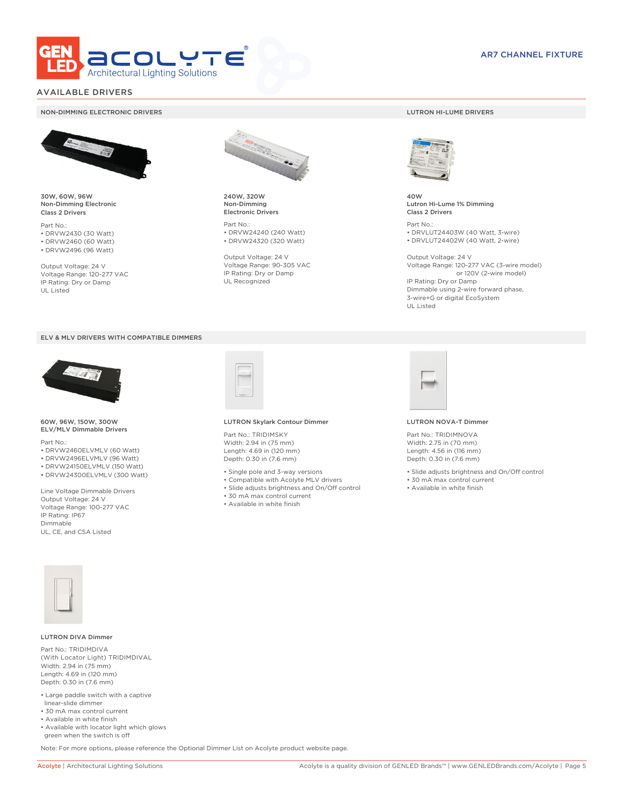

### AVAILABLE DRIVERS

#### NON-DIMMING ELECTRONIC DRIVERS LUTRON HI-LUME DRIVERS



30W, 60W, 96W Non-Dimming Electronic Class 2 Drivers

Part No.: • DRVW2430 (30 Watt) • DRVW2460 (60 Watt)

• DRVW2496 (96 Watt)

Output Voltage: 24 V Voltage Range: 120-277 VAC IP Rating: Dry or Damp UL Listed





60W, 96W, 150W, 300W ELV/MLV Dimmable Drivers

Part No.:

- DRVW2460ELVMLV (60 Watt)
- DRVW2496ELVMLV (96 Watt)
- DRVW24150ELVMLV (150 Watt)
- DRVW24300ELVMLV (300 Watt)

Line Voltage Dimmable Drivers Output Voltage: 24 V Voltage Range: 100-277 VAC IP Rating: IP67 Dimmable UL, CE, and CSA Listed



240W, 320W Non-Dimming Electronic Drivers

Part No.: • DRVW24240 (240 Watt) • DRVW24320 (320 Watt)

Output Voltage: 24 V Voltage Range: 90-305 VAC IP Rating: Dry or Damp UL Recognized



40W Lutron Hi-Lume 1% Dimming Class 2 Drivers

Part No.: • DRVLUT24403W (40 Watt, 3-wire) • DRVLUT24402W (40 Watt, 2-wire)

Output Voltage: 24 V Voltage Range: 120-277 VAC (3-wire model) or 120V (2-wire model) IP Rating: Dry or Damp Dimmable using 2-wire forward phase, 3-wire+G or digital EcoSystem UL Listed



#### LUTRON Skylark Contour Dimmer

Part No.: TRIDIMSKY Width: 2.94 in (75 mm) Length: 4.69 in (120 mm) Depth: 0.30 in (7.6 mm)

- Single pole and 3-way versions
- Compatible with Acolyte MLV drivers
- Slide adjusts brightness and On/Off control
- 30 mA max control current
- Available in white finish



#### LUTRON NOVA-T Dimmer

Part No.: TRIDIMNOVA Width: 2.75 in (70 mm) Length: 4.56 in (116 mm) Depth: 0.30 in (7.6 mm)

- Slide adjusts brightness and On/Off control
- 30 mA max control current
- Available in white finish



#### LUTRON DIVA Dimmer

Part No.: TRIDIMDIVA (With Locator Light) TRIDIMDIVAL Width: 2.94 in (75 mm) Length: 4.69 in (120 mm) Depth: 0.30 in (7.6 mm)

- Large paddle switch with a captive linear-slide dimmer
- 30 mA max control current
- Available in white finish
- Available with locator light which glows green when the switch is off

Note: For more options, please reference the Optional Dimmer List on Acolyte product website page.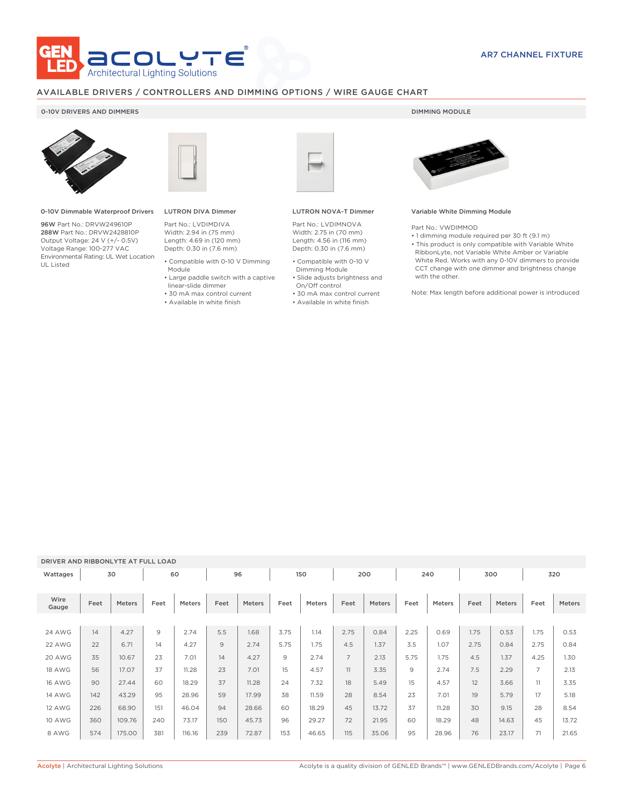

### AVAILABLE DRIVERS / CONTROLLERS AND DIMMING OPTIONS / WIRE GAUGE CHART

### 0-10V DRIVERS AND DIMMERS **DIMMING MODULE**



0-10V Dimmable Waterproof Drivers

96W Part No.: DRVW249610P 288W Part No.: DRVW2428810P Output Voltage: 24 V (+/- 0.5V) Voltage Range: 100-277 VAC Environmental Rating: UL Wet Location UL Listed



## LUTRON DIVA Dimmer

Part No.: LVDIMDIVA Width: 2.94 in (75 mm) Length: 4.69 in (120 mm) Depth: 0.30 in (7.6 mm)

- Compatible with 0-10 V Dimming Module
- Large paddle switch with a captive
- linear-slide dimmer
- 30 mA max control current • Available in white finish

### LUTRON NOVA-T Dimmer

Part No.: LVDIMNOVA Width: 2.75 in (70 mm) Length: 4.56 in (116 mm) Depth: 0.30 in (7.6 mm)

- Compatible with 0-10 V Dimming Module
- Slide adjusts brightness and On/Off control
- 30 mA max control current
- Available in white finish



#### Variable White Dimming Module

Part No.: VWDIMMOD

• 1 dimming module required per 30 ft (9.1 m) • This product is only compatible with Variable White RibbonLyte, not Variable White Amber or Variable White Red. Works with any 0-10V dimmers to provide CCT change with one dimmer and brightness change with the other.

Note: Max length before additional power is introduced

### DRIVER AND RIBBONLYTE AT FULL LOAD

| Wattages      |      | 30            |                | 60            |      | 96     |      | 150           |                | 200    |      | 240           |      | 300    |                | 320    |
|---------------|------|---------------|----------------|---------------|------|--------|------|---------------|----------------|--------|------|---------------|------|--------|----------------|--------|
| Wire<br>Gauge | Feet | <b>Meters</b> | Feet           | <b>Meters</b> | Feet | Meters | Feet | <b>Meters</b> | Feet           | Meters | Feet | <b>Meters</b> | Feet | Meters | Feet           | Meters |
|               |      |               |                |               |      |        |      |               |                |        |      |               |      |        |                |        |
| 24 AWG        | 14   | 4.27          | $\overline{9}$ | 2.74          | 5.5  | 1.68   | 3.75 | 1.14          | 2.75           | 0.84   | 2.25 | 0.69          | 1.75 | 0.53   | 1.75           | 0.53   |
| 22 AWG        | 22   | 6.71          | 14             | 4.27          | 9    | 2.74   | 5.75 | 1.75          | 4.5            | 1.37   | 3.5  | 1.07          | 2.75 | 0.84   | 2.75           | 0.84   |
| 20 AWG        | 35   | 10.67         | 23             | 7.01          | 14   | 4.27   | 9    | 2.74          | $\overline{7}$ | 2.13   | 5.75 | 1.75          | 4.5  | 1.37   | 4.25           | 1.30   |
| 18 AWG        | 56   | 17.07         | 37             | 11.28         | 23   | 7.01   | 15   | 4.57          | 11             | 3.35   | 9    | 2.74          | 7.5  | 2.29   | $\overline{7}$ | 2.13   |
| <b>16 AWG</b> | 90   | 27.44         | 60             | 18.29         | 37   | 11.28  | 24   | 7.32          | 18             | 5.49   | 15   | 4.57          | 12   | 3.66   | 11             | 3.35   |
| <b>14 AWG</b> | 142  | 43.29         | 95             | 28.96         | 59   | 17.99  | 38   | 11.59         | 28             | 8.54   | 23   | 7.01          | 19   | 5.79   | 17             | 5.18   |
| 12 AWG        | 226  | 68.90         | 151            | 46.04         | 94   | 28.66  | 60   | 18.29         | 45             | 13.72  | 37   | 11.28         | 30   | 9.15   | 28             | 8.54   |
| <b>10 AWG</b> | 360  | 109.76        | 240            | 73.17         | 150  | 45.73  | 96   | 29.27         | 72             | 21.95  | 60   | 18.29         | 48   | 14.63  | 45             | 13.72  |
| 8 AWG         | 574  | 175.00        | 381            | 116.16        | 239  | 72.87  | 153  | 46.65         | 115            | 35.06  | 95   | 28.96         | 76   | 23.17  | 71             | 21.65  |